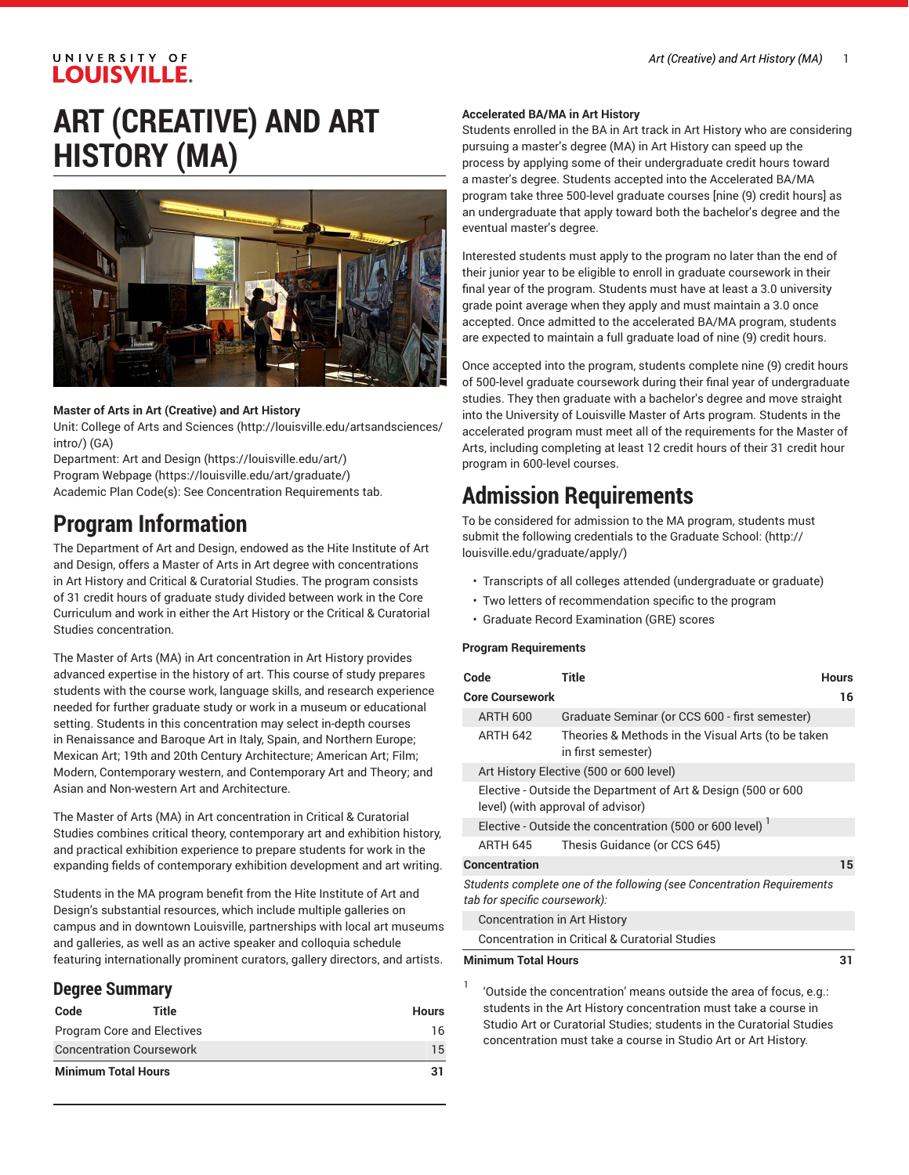### UNIVERSITY OF **LOUISVILLE.**

## **ART (CREATIVE) AND ART HISTORY (MA)**



#### **Master of Arts in Art (Creative) and Art History**

Unit: College of Arts and [Sciences \(http://louisville.edu/artsandsciences/](http://louisville.edu/artsandsciences/intro/) [intro/\)](http://louisville.edu/artsandsciences/intro/) (GA)

Department: Art and [Design](https://louisville.edu/art/) [\(https://louisville.edu/art/](https://louisville.edu/art/)) Program [Webpage](https://louisville.edu/art/graduate/) [\(https://louisville.edu/art/graduate/\)](https://louisville.edu/art/graduate/) Academic Plan Code(s): See Concentration Requirements tab.

## **Program Information**

The Department of Art and Design, endowed as the Hite Institute of Art and Design, offers a Master of Arts in Art degree with concentrations in Art History and Critical & Curatorial Studies. The program consists of 31 credit hours of graduate study divided between work in the Core Curriculum and work in either the Art History or the Critical & Curatorial Studies concentration.

The Master of Arts (MA) in Art concentration in Art History provides advanced expertise in the history of art. This course of study prepares students with the course work, language skills, and research experience needed for further graduate study or work in a museum or educational setting. Students in this concentration may select in-depth courses in Renaissance and Baroque Art in Italy, Spain, and Northern Europe; Mexican Art; 19th and 20th Century Architecture; American Art; Film; Modern, Contemporary western, and Contemporary Art and Theory; and Asian and Non-western Art and Architecture.

The Master of Arts (MA) in Art concentration in Critical & Curatorial Studies combines critical theory, contemporary art and exhibition history, and practical exhibition experience to prepare students for work in the expanding fields of contemporary exhibition development and art writing.

Students in the MA program benefit from the Hite Institute of Art and Design's substantial resources, which include multiple galleries on campus and in downtown Louisville, partnerships with local art museums and galleries, as well as an active speaker and colloquia schedule featuring internationally prominent curators, gallery directors, and artists.

#### **Degree Summary**

| Code                       | Title                           | Hours |
|----------------------------|---------------------------------|-------|
| Program Core and Electives |                                 | 16    |
|                            | <b>Concentration Coursework</b> | 15    |
| <b>Minimum Total Hours</b> |                                 | 31    |

#### **Accelerated BA/MA in Art History**

Students enrolled in the BA in Art track in Art History who are considering pursuing a master's degree (MA) in Art History can speed up the process by applying some of their undergraduate credit hours toward a master's degree. Students accepted into the Accelerated BA/MA program take three 500-level graduate courses [nine (9) credit hours] as an undergraduate that apply toward both the bachelor's degree and the eventual master's degree.

Interested students must apply to the program no later than the end of their junior year to be eligible to enroll in graduate coursework in their final year of the program. Students must have at least a 3.0 university grade point average when they apply and must maintain a 3.0 once accepted. Once admitted to the accelerated BA/MA program, students are expected to maintain a full graduate load of nine (9) credit hours.

Once accepted into the program, students complete nine (9) credit hours of 500-level graduate coursework during their final year of undergraduate studies. They then graduate with a bachelor's degree and move straight into the University of Louisville Master of Arts program. Students in the accelerated program must meet all of the requirements for the Master of Arts, including completing at least 12 credit hours of their 31 credit hour program in 600-level courses.

## **Admission Requirements**

To be considered for admission to the MA program, students must submit the following credentials to the [Graduate School:](http://louisville.edu/graduate/apply/) [\(http://](http://louisville.edu/graduate/apply/) [louisville.edu/graduate/apply/\)](http://louisville.edu/graduate/apply/)

- Transcripts of all colleges attended (undergraduate or graduate)
- Two letters of recommendation specific to the program
- Graduate Record Examination (GRE) scores

#### **Program Requirements**

| Code                                                                                                    | <b>Title</b>                                                             | <b>Hours</b> |
|---------------------------------------------------------------------------------------------------------|--------------------------------------------------------------------------|--------------|
| <b>Core Coursework</b>                                                                                  |                                                                          | 16           |
| <b>ARTH 600</b>                                                                                         | Graduate Seminar (or CCS 600 - first semester)                           |              |
| <b>ARTH 642</b>                                                                                         | Theories & Methods in the Visual Arts (to be taken<br>in first semester) |              |
|                                                                                                         | Art History Elective (500 or 600 level)                                  |              |
| Elective - Outside the Department of Art & Design (500 or 600<br>level) (with approval of advisor)      |                                                                          |              |
|                                                                                                         | Elective - Outside the concentration (500 or 600 level)                  |              |
| ARTH 645                                                                                                | Thesis Guidance (or CCS 645)                                             |              |
| <b>Concentration</b>                                                                                    |                                                                          | 15           |
| Students complete one of the following (see Concentration Requirements<br>tab for specific coursework): |                                                                          |              |
| <b>Concentration in Art History</b>                                                                     |                                                                          |              |
|                                                                                                         | <b>Concentration in Critical &amp; Curatorial Studies</b>                |              |
| <b>Minimum Total Hours</b>                                                                              |                                                                          | 31           |
| 1                                                                                                       |                                                                          |              |

'Outside the concentration' means outside the area of focus, e.g.: students in the Art History concentration must take a course in Studio Art or Curatorial Studies; students in the Curatorial Studies concentration must take a course in Studio Art or Art History.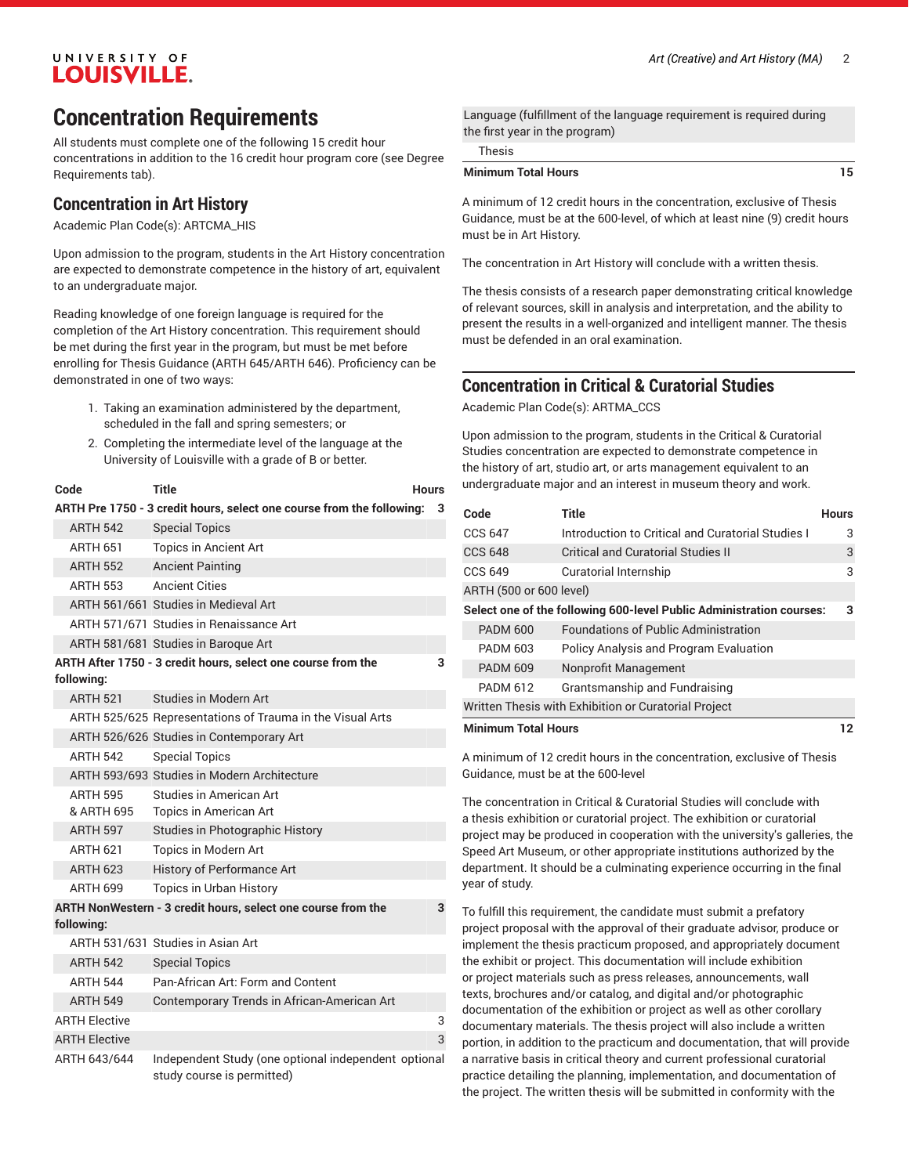### **Concentration Requirements**

All students must complete one of the following 15 credit hour concentrations in addition to the 16 credit hour program core (see Degree Requirements tab).

#### **Concentration in Art History**

Academic Plan Code(s): ARTCMA\_HIS

Upon admission to the program, students in the Art History concentration are expected to demonstrate competence in the history of art, equivalent to an undergraduate major.

Reading knowledge of one foreign language is required for the completion of the Art History concentration. This requirement should be met during the first year in the program, but must be met before enrolling for Thesis Guidance (ARTH 645/ARTH 646). Proficiency can be demonstrated in one of two ways:

- 1. Taking an examination administered by the department, scheduled in the fall and spring semesters; or
- 2. Completing the intermediate level of the language at the University of Louisville with a grade of B or better.

| Code                 | <b>Title</b>                                                                       | Hours |   |
|----------------------|------------------------------------------------------------------------------------|-------|---|
|                      | ARTH Pre 1750 - 3 credit hours, select one course from the following:              |       | 3 |
| <b>ARTH 542</b>      | <b>Special Topics</b>                                                              |       |   |
| ARTH 651             | <b>Topics in Ancient Art</b>                                                       |       |   |
| <b>ARTH 552</b>      | <b>Ancient Painting</b>                                                            |       |   |
| ARTH 553             | <b>Ancient Cities</b>                                                              |       |   |
|                      | ARTH 561/661 Studies in Medieval Art                                               |       |   |
|                      | ARTH 571/671 Studies in Renaissance Art                                            |       |   |
|                      | ARTH 581/681 Studies in Baroque Art                                                |       |   |
| following:           | ARTH After 1750 - 3 credit hours, select one course from the                       |       | 3 |
| <b>ARTH 521</b>      | Studies in Modern Art                                                              |       |   |
|                      | ARTH 525/625 Representations of Trauma in the Visual Arts                          |       |   |
|                      | ARTH 526/626 Studies in Contemporary Art                                           |       |   |
| <b>ARTH 542</b>      | <b>Special Topics</b>                                                              |       |   |
|                      | ARTH 593/693 Studies in Modern Architecture                                        |       |   |
| <b>ARTH 595</b>      | Studies in American Art                                                            |       |   |
| & ARTH 695           | <b>Topics in American Art</b>                                                      |       |   |
| <b>ARTH 597</b>      | Studies in Photographic History                                                    |       |   |
| ARTH 621             | Topics in Modern Art                                                               |       |   |
| <b>ARTH 623</b>      | History of Performance Art                                                         |       |   |
| ARTH 699             | <b>Topics in Urban History</b>                                                     |       |   |
|                      | ARTH NonWestern - 3 credit hours, select one course from the                       |       | 3 |
| following:           |                                                                                    |       |   |
|                      | ARTH 531/631 Studies in Asian Art                                                  |       |   |
| <b>ARTH 542</b>      | <b>Special Topics</b>                                                              |       |   |
| <b>ARTH 544</b>      | Pan-African Art: Form and Content                                                  |       |   |
| <b>ARTH 549</b>      | Contemporary Trends in African-American Art                                        |       |   |
| <b>ARTH Elective</b> |                                                                                    |       | 3 |
| <b>ARTH Elective</b> |                                                                                    |       | 3 |
| ARTH 643/644         | Independent Study (one optional independent optional<br>study course is permitted) |       |   |

Language (fulfillment of the language requirement is required during the first year in the program)

| i hesis |
|---------|
|         |
|         |
|         |

#### **Minimum Total Hours 15**

A minimum of 12 credit hours in the concentration, exclusive of Thesis Guidance, must be at the 600-level, of which at least nine (9) credit hours must be in Art History.

The concentration in Art History will conclude with a written thesis.

The thesis consists of a research paper demonstrating critical knowledge of relevant sources, skill in analysis and interpretation, and the ability to present the results in a well-organized and intelligent manner. The thesis must be defended in an oral examination.

#### **Concentration in Critical & Curatorial Studies**

Academic Plan Code(s): ARTMA\_CCS

Upon admission to the program, students in the Critical & Curatorial Studies concentration are expected to demonstrate competence in the history of art, studio art, or arts management equivalent to an undergraduate major and an interest in museum theory and work.

| Code                       | <b>Title</b>                                                         | <b>Hours</b> |
|----------------------------|----------------------------------------------------------------------|--------------|
| <b>CCS 647</b>             | Introduction to Critical and Curatorial Studies I                    | 3            |
| <b>CCS 648</b>             | Critical and Curatorial Studies II                                   | 3            |
| <b>CCS 649</b>             | Curatorial Internship                                                | 3            |
| ARTH (500 or 600 level)    |                                                                      |              |
|                            | Select one of the following 600-level Public Administration courses: | 3            |
| <b>PADM 600</b>            | <b>Foundations of Public Administration</b>                          |              |
| <b>PADM 603</b>            | <b>Policy Analysis and Program Evaluation</b>                        |              |
| <b>PADM 609</b>            | Nonprofit Management                                                 |              |
| <b>PADM 612</b>            | Grantsmanship and Fundraising                                        |              |
|                            | Written Thesis with Exhibition or Curatorial Project                 |              |
| <b>Minimum Total Hours</b> |                                                                      | 12           |

A minimum of 12 credit hours in the concentration, exclusive of Thesis Guidance, must be at the 600-level

The concentration in Critical & Curatorial Studies will conclude with a thesis exhibition or curatorial project. The exhibition or curatorial project may be produced in cooperation with the university's galleries, the Speed Art Museum, or other appropriate institutions authorized by the department. It should be a culminating experience occurring in the final year of study.

To fulfill this requirement, the candidate must submit a prefatory project proposal with the approval of their graduate advisor, produce or implement the thesis practicum proposed, and appropriately document the exhibit or project. This documentation will include exhibition or project materials such as press releases, announcements, wall texts, brochures and/or catalog, and digital and/or photographic documentation of the exhibition or project as well as other corollary documentary materials. The thesis project will also include a written portion, in addition to the practicum and documentation, that will provide a narrative basis in critical theory and current professional curatorial practice detailing the planning, implementation, and documentation of the project. The written thesis will be submitted in conformity with the